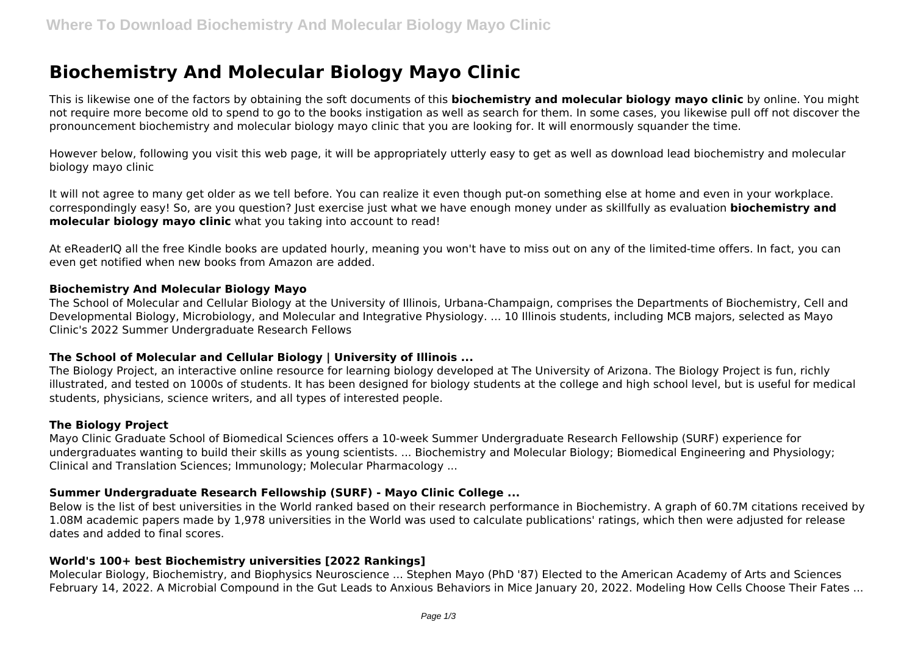# **Biochemistry And Molecular Biology Mayo Clinic**

This is likewise one of the factors by obtaining the soft documents of this **biochemistry and molecular biology mayo clinic** by online. You might not require more become old to spend to go to the books instigation as well as search for them. In some cases, you likewise pull off not discover the pronouncement biochemistry and molecular biology mayo clinic that you are looking for. It will enormously squander the time.

However below, following you visit this web page, it will be appropriately utterly easy to get as well as download lead biochemistry and molecular biology mayo clinic

It will not agree to many get older as we tell before. You can realize it even though put-on something else at home and even in your workplace. correspondingly easy! So, are you question? Just exercise just what we have enough money under as skillfully as evaluation **biochemistry and molecular biology mayo clinic** what you taking into account to read!

At eReaderIQ all the free Kindle books are updated hourly, meaning you won't have to miss out on any of the limited-time offers. In fact, you can even get notified when new books from Amazon are added.

#### **Biochemistry And Molecular Biology Mayo**

The School of Molecular and Cellular Biology at the University of Illinois, Urbana-Champaign, comprises the Departments of Biochemistry, Cell and Developmental Biology, Microbiology, and Molecular and Integrative Physiology. ... 10 Illinois students, including MCB majors, selected as Mayo Clinic's 2022 Summer Undergraduate Research Fellows

# **The School of Molecular and Cellular Biology | University of Illinois ...**

The Biology Project, an interactive online resource for learning biology developed at The University of Arizona. The Biology Project is fun, richly illustrated, and tested on 1000s of students. It has been designed for biology students at the college and high school level, but is useful for medical students, physicians, science writers, and all types of interested people.

# **The Biology Project**

Mayo Clinic Graduate School of Biomedical Sciences offers a 10-week Summer Undergraduate Research Fellowship (SURF) experience for undergraduates wanting to build their skills as young scientists. ... Biochemistry and Molecular Biology; Biomedical Engineering and Physiology; Clinical and Translation Sciences; Immunology; Molecular Pharmacology ...

# **Summer Undergraduate Research Fellowship (SURF) - Mayo Clinic College ...**

Below is the list of best universities in the World ranked based on their research performance in Biochemistry. A graph of 60.7M citations received by 1.08M academic papers made by 1,978 universities in the World was used to calculate publications' ratings, which then were adjusted for release dates and added to final scores.

# **World's 100+ best Biochemistry universities [2022 Rankings]**

Molecular Biology, Biochemistry, and Biophysics Neuroscience ... Stephen Mayo (PhD '87) Elected to the American Academy of Arts and Sciences February 14, 2022. A Microbial Compound in the Gut Leads to Anxious Behaviors in Mice January 20, 2022. Modeling How Cells Choose Their Fates ...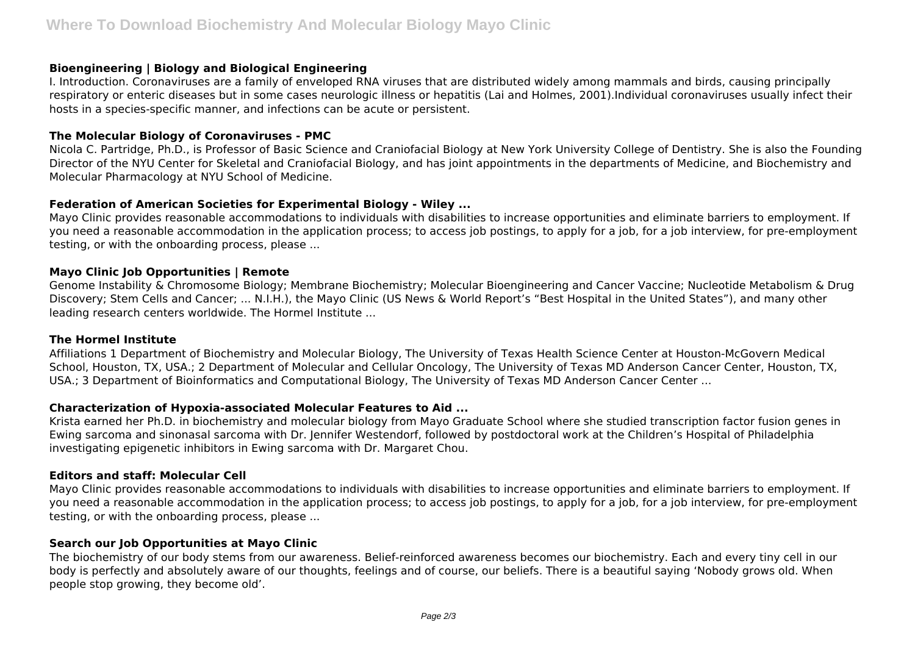#### **Bioengineering | Biology and Biological Engineering**

I. Introduction. Coronaviruses are a family of enveloped RNA viruses that are distributed widely among mammals and birds, causing principally respiratory or enteric diseases but in some cases neurologic illness or hepatitis (Lai and Holmes, 2001).Individual coronaviruses usually infect their hosts in a species‐specific manner, and infections can be acute or persistent.

#### **The Molecular Biology of Coronaviruses - PMC**

Nicola C. Partridge, Ph.D., is Professor of Basic Science and Craniofacial Biology at New York University College of Dentistry. She is also the Founding Director of the NYU Center for Skeletal and Craniofacial Biology, and has joint appointments in the departments of Medicine, and Biochemistry and Molecular Pharmacology at NYU School of Medicine.

# **Federation of American Societies for Experimental Biology - Wiley ...**

Mayo Clinic provides reasonable accommodations to individuals with disabilities to increase opportunities and eliminate barriers to employment. If you need a reasonable accommodation in the application process; to access job postings, to apply for a job, for a job interview, for pre-employment testing, or with the onboarding process, please ...

# **Mayo Clinic Job Opportunities | Remote**

Genome Instability & Chromosome Biology; Membrane Biochemistry; Molecular Bioengineering and Cancer Vaccine; Nucleotide Metabolism & Drug Discovery; Stem Cells and Cancer; ... N.I.H.), the Mayo Clinic (US News & World Report's "Best Hospital in the United States"), and many other leading research centers worldwide. The Hormel Institute ...

# **The Hormel Institute**

Affiliations 1 Department of Biochemistry and Molecular Biology, The University of Texas Health Science Center at Houston-McGovern Medical School, Houston, TX, USA.; 2 Department of Molecular and Cellular Oncology, The University of Texas MD Anderson Cancer Center, Houston, TX, USA.; 3 Department of Bioinformatics and Computational Biology, The University of Texas MD Anderson Cancer Center ...

# **Characterization of Hypoxia-associated Molecular Features to Aid ...**

Krista earned her Ph.D. in biochemistry and molecular biology from Mayo Graduate School where she studied transcription factor fusion genes in Ewing sarcoma and sinonasal sarcoma with Dr. Jennifer Westendorf, followed by postdoctoral work at the Children's Hospital of Philadelphia investigating epigenetic inhibitors in Ewing sarcoma with Dr. Margaret Chou.

# **Editors and staff: Molecular Cell**

Mayo Clinic provides reasonable accommodations to individuals with disabilities to increase opportunities and eliminate barriers to employment. If you need a reasonable accommodation in the application process; to access job postings, to apply for a job, for a job interview, for pre-employment testing, or with the onboarding process, please ...

# **Search our Job Opportunities at Mayo Clinic**

The biochemistry of our body stems from our awareness. Belief-reinforced awareness becomes our biochemistry. Each and every tiny cell in our body is perfectly and absolutely aware of our thoughts, feelings and of course, our beliefs. There is a beautiful saying 'Nobody grows old. When people stop growing, they become old'.